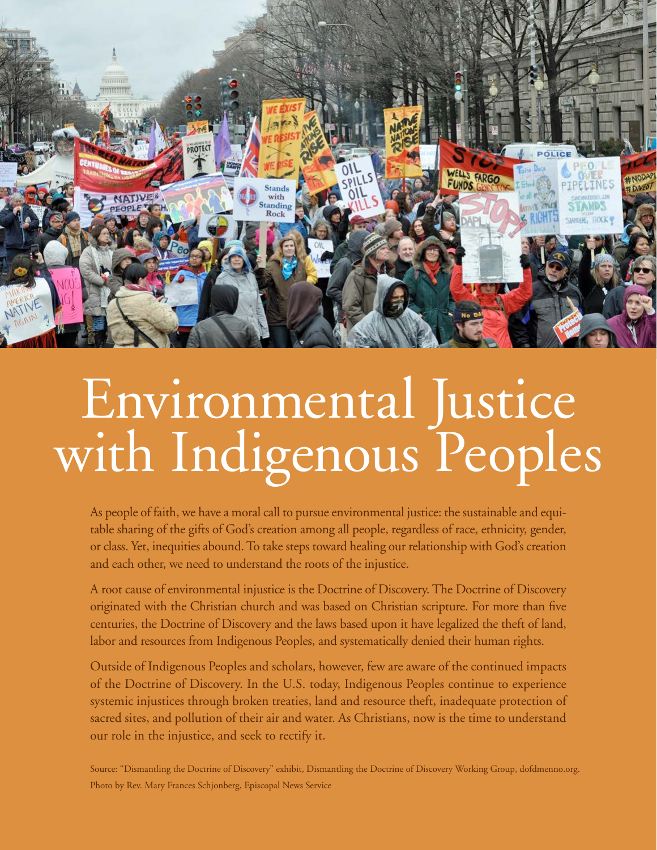

# Environmental Justice with Indigenous Peoples

As people of faith, we have a moral call to pursue environmental justice: the sustainable and equitable sharing of the gifts of God's creation among all people, regardless of race, ethnicity, gender, or class. Yet, inequities abound. To take steps toward healing our relationship with God's creation and each other, we need to understand the roots of the injustice.

A root cause of environmental injustice is the Doctrine of Discovery. The Doctrine of Discovery originated with the Christian church and was based on Christian scripture. For more than five centuries, the Doctrine of Discovery and the laws based upon it have legalized the theft of land, labor and resources from Indigenous Peoples, and systematically denied their human rights.

Outside of Indigenous Peoples and scholars, however, few are aware of the continued impacts of the Doctrine of Discovery. In the U.S. today, Indigenous Peoples continue to experience systemic injustices through broken treaties, land and resource theft, inadequate protection of sacred sites, and pollution of their air and water. As Christians, now is the time to understand our role in the injustice, and seek to rectify it.

Source: "Dismantling the Doctrine of Discovery" exhibit, Dismantling the Doctrine of Discovery Working Group, [dofdmenno.org](http://dofdmenno.org). Photo by Rev. Mary Frances Schjonberg, Episcopal News Service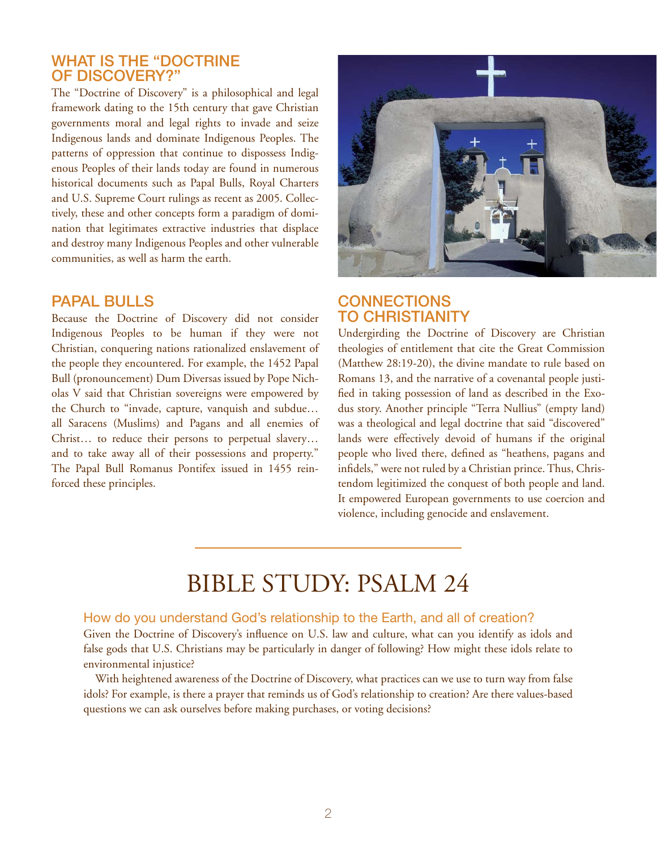# WHAT IS THE "DOCTRINE of Discovery?"

The "Doctrine of Discovery" is a philosophical and legal framework dating to the 15th century that gave Christian governments moral and legal rights to invade and seize Indigenous lands and dominate Indigenous Peoples. The patterns of oppression that continue to dispossess Indigenous Peoples of their lands today are found in numerous historical documents such as Papal Bulls, Royal Charters and U.S. Supreme Court rulings as recent as 2005. Collectively, these and other concepts form a paradigm of domination that legitimates extractive industries that displace and destroy many Indigenous Peoples and other vulnerable communities, as well as harm the earth.

#### Papal Bulls

Because the Doctrine of Discovery did not consider Indigenous Peoples to be human if they were not Christian, conquering nations rationalized enslavement of the people they encountered. For example, the 1452 Papal Bull (pronouncement) Dum Diversas issued by Pope Nicholas V said that Christian sovereigns were empowered by the Church to "invade, capture, vanquish and subdue… all Saracens (Muslims) and Pagans and all enemies of Christ… to reduce their persons to perpetual slavery… and to take away all of their possessions and property." The Papal Bull Romanus Pontifex issued in 1455 reinforced these principles.



# **CONNECTIONS** to Christianity

Undergirding the Doctrine of Discovery are Christian theologies of entitlement that cite the Great Commission (Matthew 28:19-20), the divine mandate to rule based on Romans 13, and the narrative of a covenantal people justified in taking possession of land as described in the Exodus story. Another principle "Terra Nullius" (empty land) was a theological and legal doctrine that said "discovered" lands were effectively devoid of humans if the original people who lived there, defined as "heathens, pagans and infidels," were not ruled by a Christian prince. Thus, Christendom legitimized the conquest of both people and land. It empowered European governments to use coercion and violence, including genocide and enslavement.

# Bible Study: Psalm 24

#### How do you understand God's relationship to the Earth, and all of creation?

Given the Doctrine of Discovery's influence on U.S. law and culture, what can you identify as idols and false gods that U.S. Christians may be particularly in danger of following? How might these idols relate to environmental injustice?

With heightened awareness of the Doctrine of Discovery, what practices can we use to turn way from false idols? For example, is there a prayer that reminds us of God's relationship to creation? Are there values-based questions we can ask ourselves before making purchases, or voting decisions?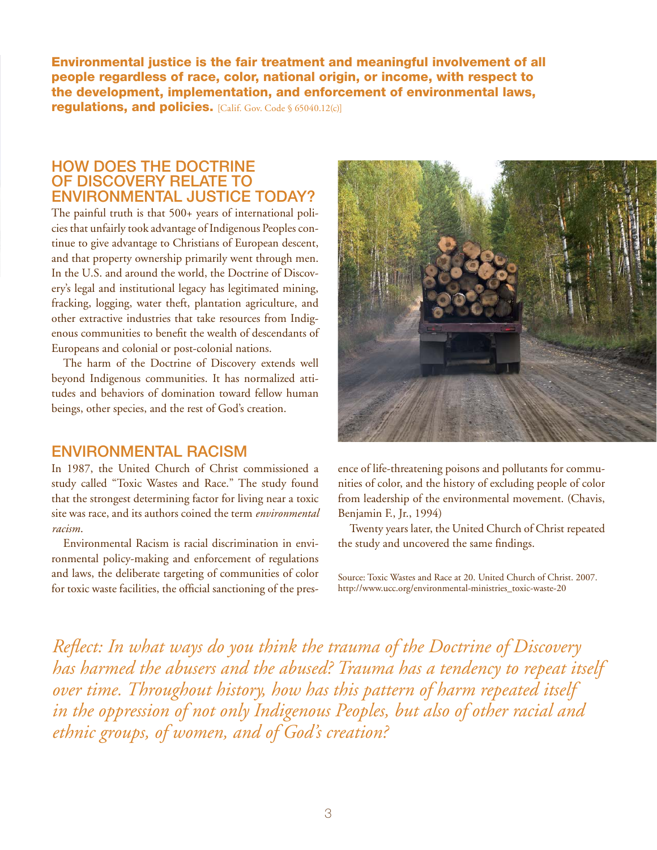Environmental justice is the fair treatment and meaningful involvement of all people regardless of race, color, national origin, or income, with respect to the development, implementation, and enforcement of environmental laws, regulations, and policies. [Calif. Gov. Code § 65040.12(c)]

# HOW DOES THE DOCTRINE of Discovery relate to environmental justice today?

The painful truth is that 500+ years of international policies that unfairly took advantage of Indigenous Peoples continue to give advantage to Christians of European descent, and that property ownership primarily went through men. In the U.S. and around the world, the Doctrine of Discovery's legal and institutional legacy has legitimated mining, fracking, logging, water theft, plantation agriculture, and other extractive industries that take resources from Indigenous communities to benefit the wealth of descendants of Europeans and colonial or post-colonial nations.

The harm of the Doctrine of Discovery extends well beyond Indigenous communities. It has normalized attitudes and behaviors of domination toward fellow human beings, other species, and the rest of God's creation.

## Environmental Racism

In 1987, the United Church of Christ commissioned a study called "Toxic Wastes and Race." The study found that the strongest determining factor for living near a toxic site was race, and its authors coined the term *environmental racism*.

Environmental Racism is racial discrimination in environmental policy-making and enforcement of regulations and laws, the deliberate targeting of communities of color for toxic waste facilities, the official sanctioning of the pres-



ence of life-threatening poisons and pollutants for communities of color, and the history of excluding people of color from leadership of the environmental movement. (Chavis, Benjamin F., Jr., 1994)

Twenty years later, the United Church of Christ repeated the study and uncovered the same findings.

Source: Toxic Wastes and Race at 20. United Church of Christ. 2007. [http://www.ucc.org/environmental-ministries\\_toxic-waste-20](http://www.ucc.org/environmental-ministries_toxic-waste-20) 

*Reflect: In what ways do you think the trauma of the Doctrine of Discovery*  has harmed the abusers and the abused? Trauma has a tendency to repeat itself *over time. Throughout history, how has this pattern of harm repeated itself in the oppression of not only Indigenous Peoples, but also of other racial and ethnic groups, of women, and of God's creation?*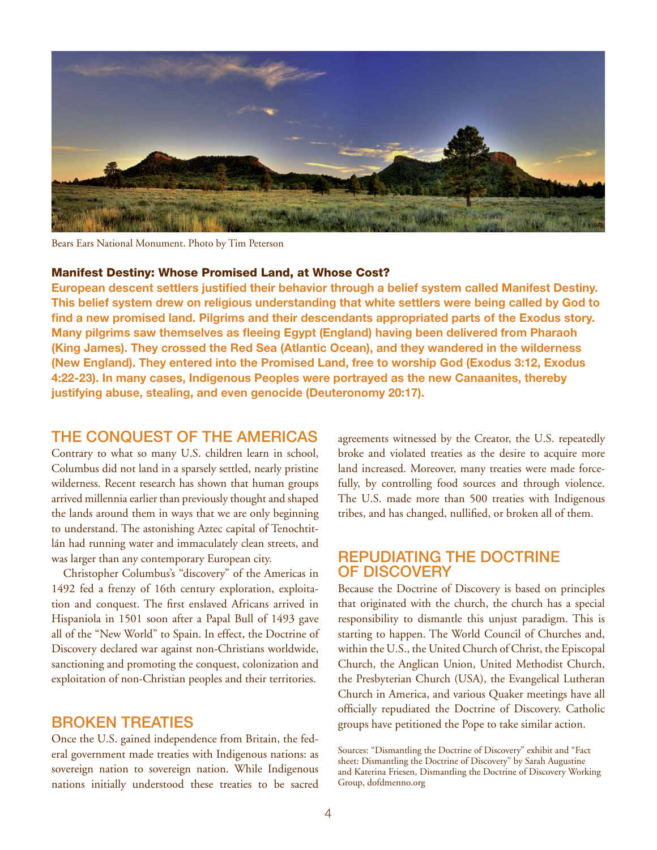

Bears Ears National Monument. Photo by Tim Peterson

#### Manifest Destiny: Whose Promised Land, at Whose Cost?

**European descent settlers justified their behavior through a belief system called Manifest Destiny. This belief system drew on religious understanding that white settlers were being called by God to find a new promised land. Pilgrims and their descendants appropriated parts of the Exodus story. Many pilgrims saw themselves as fleeing Egypt (England) having been delivered from Pharaoh (King James). They crossed the Red Sea (Atlantic Ocean), and they wandered in the wilderness (New England). They entered into the Promised Land, free to worship God (Exodus 3:12, Exodus 4:22-23). In many cases, Indigenous Peoples were portrayed as the new Canaanites, thereby justifying abuse, stealing, and even genocide (Deuteronomy 20:17).**

# The Conquest of the Americas

Contrary to what so many U.S. children learn in school, Columbus did not land in a sparsely settled, nearly pristine wilderness. Recent research has shown that human groups arrived millennia earlier than previously thought and shaped the lands around them in ways that we are only beginning to understand. The astonishing Aztec capital of Tenochtitlán had running water and immaculately clean streets, and was larger than any contemporary European city.

Christopher Columbus's "discovery" of the Americas in 1492 fed a frenzy of 16th century exploration, exploitation and conquest. The first enslaved Africans arrived in Hispaniola in 1501 soon after a Papal Bull of 1493 gave all of the "New World" to Spain. In effect, the Doctrine of Discovery declared war against non-Christians worldwide, sanctioning and promoting the conquest, colonization and exploitation of non-Christian peoples and their territories.

# Broken Treaties

Once the U.S. gained independence from Britain, the federal government made treaties with Indigenous nations: as sovereign nation to sovereign nation. While Indigenous nations initially understood these treaties to be sacred agreements witnessed by the Creator, the U.S. repeatedly broke and violated treaties as the desire to acquire more land increased. Moreover, many treaties were made forcefully, by controlling food sources and through violence. The U.S. made more than 500 treaties with Indigenous tribes, and has changed, nullified, or broken all of them.

## Repudiating the Doctrine of Discovery

Because the Doctrine of Discovery is based on principles that originated with the church, the church has a special responsibility to dismantle this unjust paradigm. This is starting to happen. The World Council of Churches and, within the U.S., the United Church of Christ, the Episcopal Church, the Anglican Union, United Methodist Church, the Presbyterian Church (USA), the Evangelical Lutheran Church in America, and various Quaker meetings have all officially repudiated the Doctrine of Discovery. Catholic groups have petitioned the Pope to take similar action.

Sources: "Dismantling the Doctrine of Discovery" exhibit and "Fact sheet: Dismantling the Doctrine of Discovery" by Sarah Augustine and Katerina Friesen, Dismantling the Doctrine of Discovery Working Group, [dofdmenno.org](http://dofdmenno.org)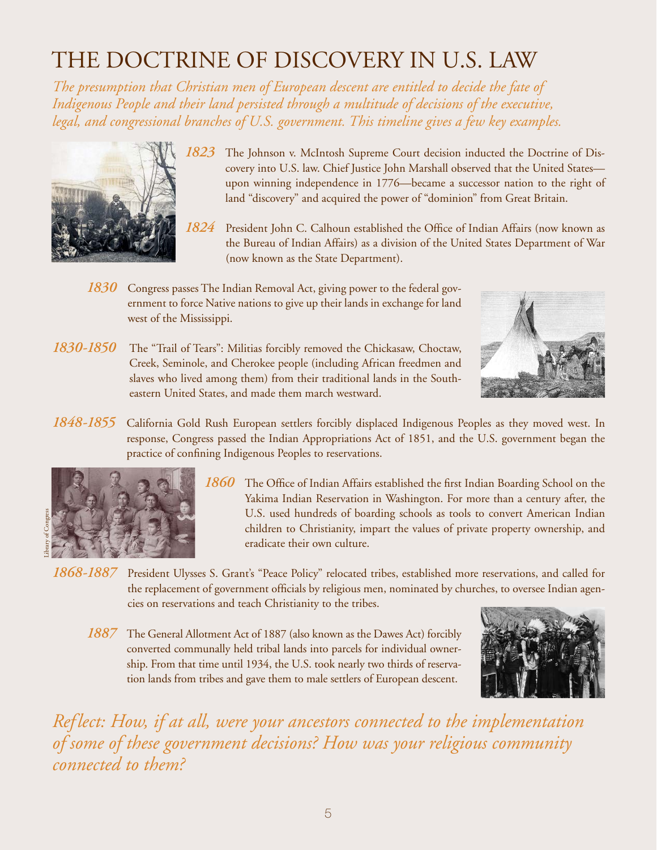# The Doctrine of Discovery in U.S. law

*The presumption that Christian men of European descent are entitled to decide the fate of Indigenous People and their land persisted through a multitude of decisions of the executive, legal, and congressional branches of U.S. government. This timeline gives a few key examples.*



- *1823* The Johnson v. McIntosh Supreme Court decision inducted the Doctrine of Discovery into U.S. law. Chief Justice John Marshall observed that the United States upon winning independence in 1776—became a successor nation to the right of land "discovery" and acquired the power of "dominion" from Great Britain.
- *1824* President John C. Calhoun established the Office of Indian Affairs (now known as the Bureau of Indian Affairs) as a division of the United States Department of War (now known as the State Department).
- *1830* Congress passes The Indian Removal Act, giving power to the federal government to force Native nations to give up their lands in exchange for land west of the Mississippi.
- *1830-1850* The "Trail of Tears": Militias forcibly removed the Chickasaw, Choctaw, Creek, Seminole, and Cherokee people (including African freedmen and slaves who lived among them) from their traditional lands in the Southeastern United States, and made them march westward.



*1848-1855* California Gold Rush European settlers forcibly displaced Indigenous Peoples as they moved west. In response, Congress passed the Indian Appropriations Act of 1851, and the U.S. government began the practice of confining Indigenous Peoples to reservations.



- *1860* The Office of Indian Affairs established the first Indian Boarding School on the Yakima Indian Reservation in Washington. For more than a century after, the U.S. used hundreds of boarding schools as tools to convert American Indian children to Christianity, impart the values of private property ownership, and eradicate their own culture.
- *1868-1887* President Ulysses S. Grant's "Peace Policy" relocated tribes, established more reservations, and called for the replacement of government officials by religious men, nominated by churches, to oversee Indian agencies on reservations and teach [Christianity](https://en.wikipedia.org/wiki/Christianity) to the tribes.
	- *1887* The General Allotment Act of 1887 (also known as the Dawes Act) forcibly converted communally held tribal lands into parcels for individual ownership. From that time until 1934, the U.S. took nearly two thirds of reservation lands from tribes and gave them to male settlers of European descent.



*Reflect: How, if at all, were your ancestors connected to the implementation of some of these government decisions? How was your religious community connected to them?*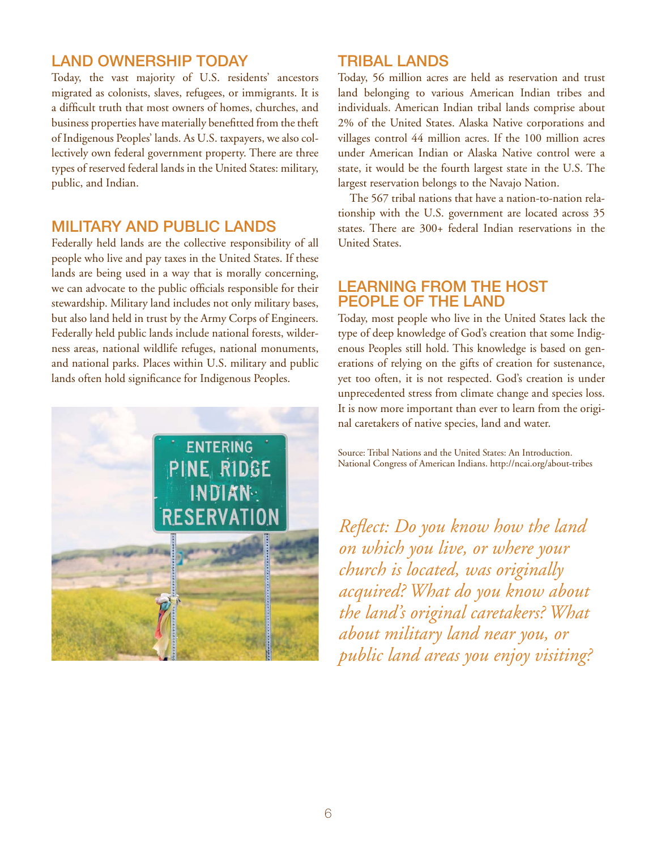# Land Ownership Today

Today, the vast majority of U.S. residents' ancestors migrated as colonists, slaves, refugees, or immigrants. It is a difficult truth that most owners of homes, churches, and business properties have materially benefitted from the theft of Indigenous Peoples' lands. As U.S. taxpayers, we also collectively own federal government property. There are three types of reserved federal lands in the United States: military, public, and Indian.

# Military and Public Lands

Federally held lands are the collective responsibility of all people who live and pay taxes in the United States. If these lands are being used in a way that is morally concerning, we can advocate to the public officials responsible for their stewardship. Military land includes not only military bases, but also land held in trust by the Army Corps of Engineers. Federally held public lands include national forests, wilderness areas, national wildlife refuges, national monuments, and national parks. Places within U.S. military and public lands often hold significance for Indigenous Peoples.



# Tribal Lands

Today, 56 million acres are held as reservation and trust land belonging to various American Indian tribes and individuals. American Indian tribal lands comprise about 2% of the United States. Alaska Native corporations and villages control 44 million acres. If the 100 million acres under American Indian or Alaska Native control were a state, it would be the fourth largest state in the U.S. The largest reservation belongs to the Navajo Nation.

The 567 tribal nations that have a nation-to-nation relationship with the U.S. government are located across 35 states. There are 300+ federal Indian reservations in the United States.

# Learning from the Host People of the Land

Today, most people who live in the United States lack the type of deep knowledge of God's creation that some Indigenous Peoples still hold. This knowledge is based on generations of relying on the gifts of creation for sustenance, yet too often, it is not respected. God's creation is under unprecedented stress from climate change and species loss. It is now more important than ever to learn from the original caretakers of native species, land and water.

Source: Tribal Nations and the United States: An Introduction. National Congress of American Indians. <http://ncai.org/about-tribes>

*Reflect: Do you know how the land on which you live, or where your church is located, was originally acquired? What do you know about the land's original caretakers? What about military land near you, or public land areas you enjoy visiting?*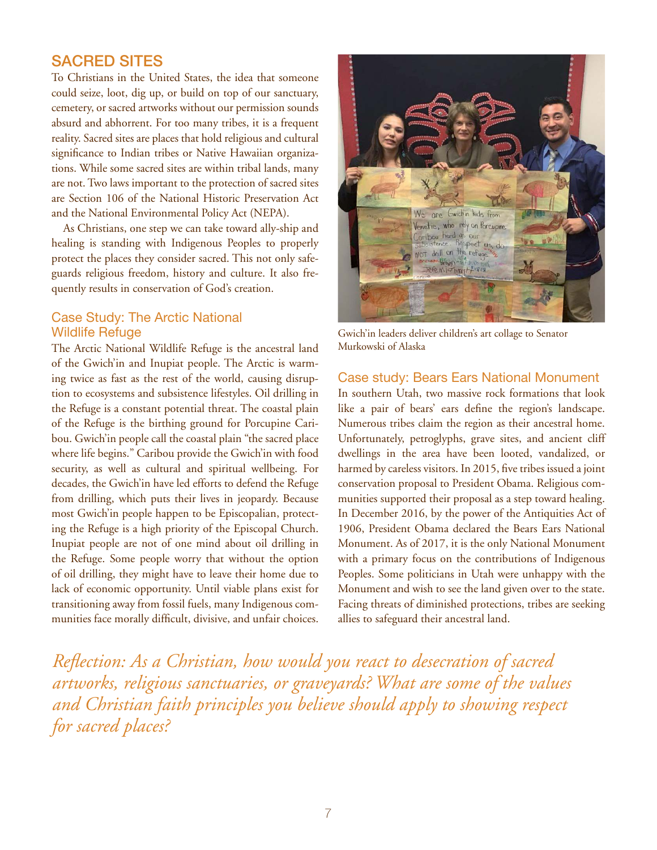# Sacred Sites

To Christians in the United States, the idea that someone could seize, loot, dig up, or build on top of our sanctuary, cemetery, or sacred artworks without our permission sounds absurd and abhorrent. For too many tribes, it is a frequent reality. Sacred sites are places that hold religious and cultural significance to Indian tribes or Native Hawaiian organizations. While some sacred sites are within tribal lands, many are not. Two laws important to the protection of sacred sites are Section 106 of the National Historic Preservation Act and the National Environmental Policy Act (NEPA).

As Christians, one step we can take toward ally-ship and healing is standing with Indigenous Peoples to properly protect the places they consider sacred. This not only safeguards religious freedom, history and culture. It also frequently results in conservation of God's creation.

#### Case Study: The Arctic National Wildlife Refuge

The Arctic National Wildlife Refuge is the ancestral land of the Gwich'in and Inupiat people. The Arctic is warming twice as fast as the rest of the world, causing disruption to ecosystems and subsistence lifestyles. Oil drilling in the Refuge is a constant potential threat. The coastal plain of the Refuge is the birthing ground for Porcupine Caribou. Gwich'in people call the coastal plain "the sacred place where life begins." Caribou provide the Gwich'in with food security, as well as cultural and spiritual wellbeing. For decades, the Gwich'in have led efforts to defend the Refuge from drilling, which puts their lives in jeopardy. Because most Gwich'in people happen to be Episcopalian, protecting the Refuge is a high priority of the Episcopal Church. Inupiat people are not of one mind about oil drilling in the Refuge. Some people worry that without the option of oil drilling, they might have to leave their home due to lack of economic opportunity. Until viable plans exist for transitioning away from fossil fuels, many Indigenous communities face morally difficult, divisive, and unfair choices.



Gwich'in leaders deliver children's art collage to Senator Murkowski of Alaska

#### Case study: Bears Ears National Monument

In southern Utah, two massive rock formations that look like a pair of bears' ears define the region's landscape. Numerous tribes claim the region as their ancestral home. Unfortunately, petroglyphs, grave sites, and ancient cliff dwellings in the area have been looted, vandalized, or harmed by careless visitors. In 2015, five tribes issued a joint conservation proposal to President Obama. Religious communities supported their proposal as a step toward healing. In December 2016, by the power of the Antiquities Act of 1906, President Obama declared the Bears Ears National Monument. As of 2017, it is the only National Monument with a primary focus on the contributions of Indigenous Peoples. Some politicians in Utah were unhappy with the Monument and wish to see the land given over to the state. Facing threats of diminished protections, tribes are seeking allies to safeguard their ancestral land.

*Reflection: As a Christian, how would you react to desecration of sacred artworks, religious sanctuaries, or graveyards? What are some of the values and Christian faith principles you believe should apply to showing respect for sacred places?*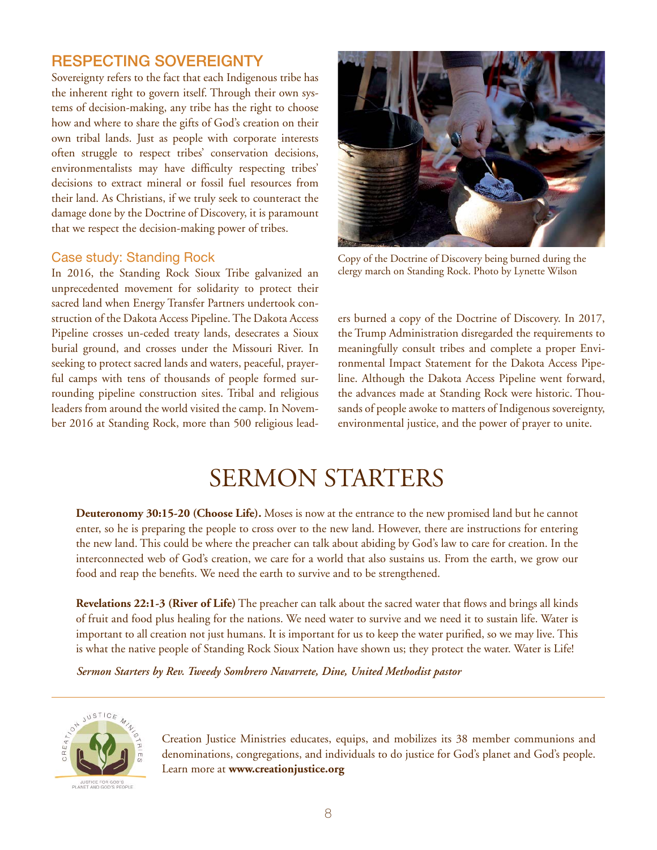# Respecting Sovereignty

Sovereignty refers to the fact that each Indigenous tribe has the inherent right to govern itself. Through their own systems of decision-making, any tribe has the right to choose how and where to share the gifts of God's creation on their own tribal lands. Just as people with corporate interests often struggle to respect tribes' conservation decisions, environmentalists may have difficulty respecting tribes' decisions to extract mineral or fossil fuel resources from their land. As Christians, if we truly seek to counteract the damage done by the Doctrine of Discovery, it is paramount that we respect the decision-making power of tribes.

#### Case study: Standing Rock

In 2016, the Standing Rock Sioux Tribe galvanized an unprecedented movement for solidarity to protect their sacred land when Energy Transfer Partners undertook construction of the Dakota Access Pipeline. The Dakota Access Pipeline crosses un-ceded treaty lands, desecrates a Sioux burial ground, and crosses under the Missouri River. In seeking to protect sacred lands and waters, peaceful, prayerful camps with tens of thousands of people formed surrounding pipeline construction sites. Tribal and religious leaders from around the world visited the camp. In November 2016 at Standing Rock, more than 500 religious lead-



Copy of the Doctrine of Discovery being burned during the clergy march on Standing Rock. Photo by Lynette Wilson

ers burned a copy of the Doctrine of Discovery. In 2017, the Trump Administration disregarded the requirements to meaningfully consult tribes and complete a proper Environmental Impact Statement for the Dakota Access Pipeline. Although the Dakota Access Pipeline went forward, the advances made at Standing Rock were historic. Thousands of people awoke to matters of Indigenous sovereignty, environmental justice, and the power of prayer to unite.

# SERMON STARTERS

**Deuteronomy 30:15-20 (Choose Life).** Moses is now at the entrance to the new promised land but he cannot enter, so he is preparing the people to cross over to the new land. However, there are instructions for entering the new land. This could be where the preacher can talk about abiding by God's law to care for creation. In the interconnected web of God's creation, we care for a world that also sustains us. From the earth, we grow our food and reap the benefits. We need the earth to survive and to be strengthened.

**Revelations 22:1-3 (River of Life)** The preacher can talk about the sacred water that flows and brings all kinds of fruit and food plus healing for the nations. We need water to survive and we need it to sustain life. Water is important to all creation not just humans. It is important for us to keep the water purified, so we may live. This is what the native people of Standing Rock Sioux Nation have shown us; they protect the water. Water is Life!

*Sermon Starters by Rev. Tweedy Sombrero Navarrete, Dine, United Methodist pastor*



Creation Justice Ministries educates, equips, and mobilizes its 38 member communions and denominations, congregations, and individuals to do justice for God's planet and God's people. Learn more at **[www.creationjustice.org](http://www.creationjustice.org)**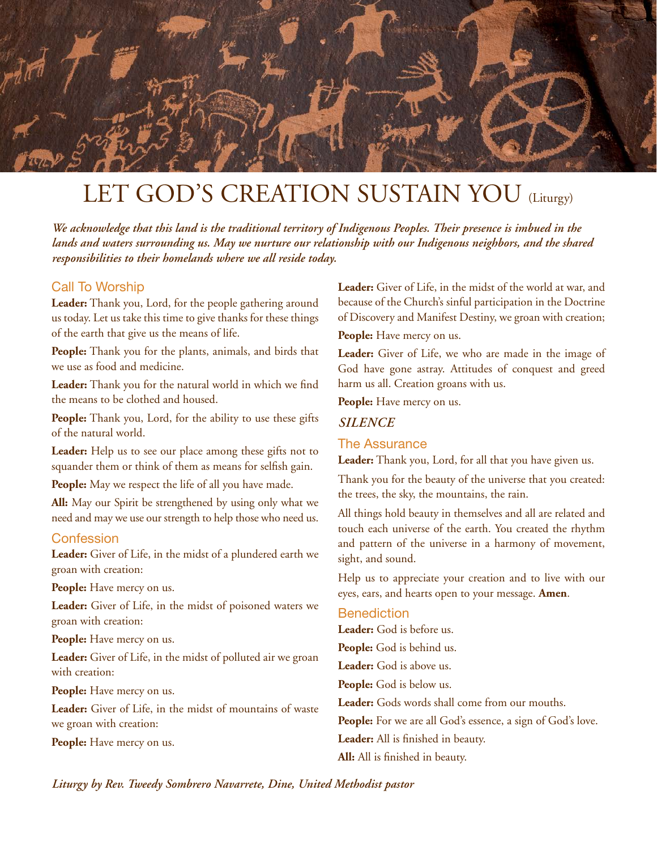

# LET GOD'S CREATION SUSTAIN YOU (Liturgy)

*We acknowledge that this land is the traditional territory of Indigenous Peoples. Their presence is imbued in the lands and waters surrounding us. May we nurture our relationship with our Indigenous neighbors, and the shared responsibilities to their homelands where we all reside today.*

#### Call To Worship

**Leader:** Thank you, Lord, for the people gathering around us today. Let us take this time to give thanks for these things of the earth that give us the means of life.

**People:** Thank you for the plants, animals, and birds that we use as food and medicine.

**Leader:** Thank you for the natural world in which we find the means to be clothed and housed.

**People:** Thank you, Lord, for the ability to use these gifts of the natural world.

**Leader:** Help us to see our place among these gifts not to squander them or think of them as means for selfish gain.

People: May we respect the life of all you have made.

**All:** May our Spirit be strengthened by using only what we need and may we use our strength to help those who need us.

#### **Confession**

**Leader:** Giver of Life, in the midst of a plundered earth we groan with creation:

**People:** Have mercy on us.

**Leader:** Giver of Life, in the midst of poisoned waters we groan with creation:

**People:** Have mercy on us.

**Leader:** Giver of Life, in the midst of polluted air we groan with creation:

People: Have mercy on us.

**Leader:** Giver of Life, in the midst of mountains of waste we groan with creation:

**People:** Have mercy on us.

**Leader:** Giver of Life, in the midst of the world at war, and because of the Church's sinful participation in the Doctrine of Discovery and Manifest Destiny, we groan with creation;

**People:** Have mercy on us.

**Leader:** Giver of Life, we who are made in the image of God have gone astray. Attitudes of conquest and greed harm us all. Creation groans with us.

**People:** Have mercy on us.

#### *SILENCE*

#### The Assurance

**Leader:** Thank you, Lord, for all that you have given us.

Thank you for the beauty of the universe that you created: the trees, the sky, the mountains, the rain.

All things hold beauty in themselves and all are related and touch each universe of the earth. You created the rhythm and pattern of the universe in a harmony of movement, sight, and sound.

Help us to appreciate your creation and to live with our eyes, ears, and hearts open to your message. **Amen**.

#### **Benediction**

**Leader:** God is before us. **People:** God is behind us. **Leader:** God is above us. **People:** God is below us. **Leader:** Gods words shall come from our mouths. People: For we are all God's essence, a sign of God's love. **Leader:** All is finished in beauty. **All:** All is finished in beauty.

*Liturgy by Rev. Tweedy Sombrero Navarrete, Dine, United Methodist pastor*